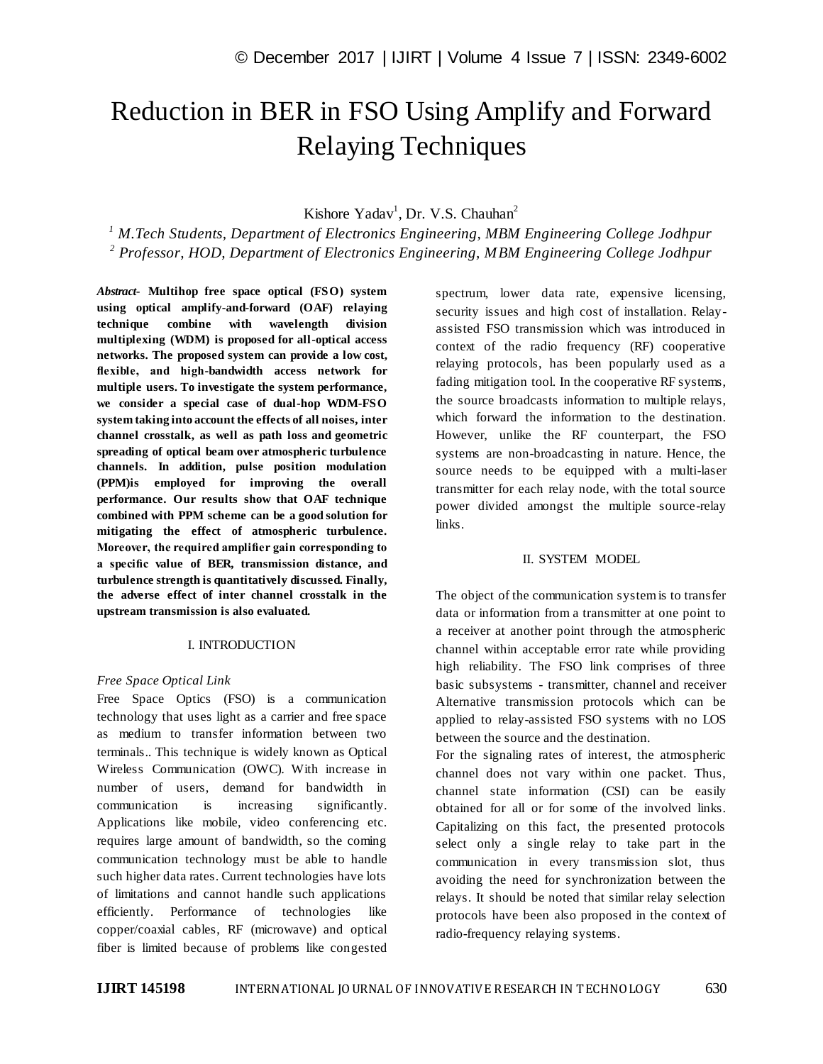# Reduction in BER in FSO Using Amplify and Forward Relaying Techniques

## Kishore Yadav<sup>1</sup>, Dr. V.S. Chauhan<sup>2</sup>

*<sup>1</sup> M.Tech Students, Department of Electronics Engineering, MBM Engineering College Jodhpur 2 Professor, HOD, Department of Electronics Engineering, MBM Engineering College Jodhpur*

*Abstract*- **Multihop free space optical (FSO) system using optical amplify-and-forward (OAF) relaying technique combine with wavelength division multiplexing (WDM) is proposed for all-optical access networks. The proposed system can provide a low cost, flexible, and high-bandwidth access network for multiple users. To investigate the system performance, we consider a special case of dual-hop WDM-FSO system taking into account the effects of all noises, inter channel crosstalk, as well as path loss and geometric spreading of optical beam over atmospheric turbulence channels. In addition, pulse position modulation (PPM)is employed for improving the overall performance. Our results show that OAF technique combined with PPM scheme can be a good solution for mitigating the effect of atmospheric turbulence. Moreover, the required amplifier gain corresponding to a specific value of BER, transmission distance, and turbulence strength is quantitatively discussed. Finally, the adverse effect of inter channel crosstalk in the upstream transmission is also evaluated.**

### I. INTRODUCTION

### *Free Space Optical Link*

Free Space Optics (FSO) is a communication technology that uses light as a carrier and free space as medium to transfer information between two terminals.. This technique is widely known as Optical Wireless Communication (OWC). With increase in number of users, demand for bandwidth in communication is increasing significantly. Applications like mobile, video conferencing etc. requires large amount of bandwidth, so the coming communication technology must be able to handle such higher data rates. Current technologies have lots of limitations and cannot handle such applications efficiently. Performance of technologies like copper/coaxial cables, RF (microwave) and optical fiber is limited because of problems like congested spectrum, lower data rate, expensive licensing, security issues and high cost of installation. Relayassisted FSO transmission which was introduced in context of the radio frequency (RF) cooperative relaying protocols, has been popularly used as a fading mitigation tool. In the cooperative RF systems, the source broadcasts information to multiple relays, which forward the information to the destination. However, unlike the RF counterpart, the FSO systems are non-broadcasting in nature. Hence, the source needs to be equipped with a multi-laser transmitter for each relay node, with the total source power divided amongst the multiple source-relay links.

### II. SYSTEM MODEL

The object of the communication system is to transfer data or information from a transmitter at one point to a receiver at another point through the atmospheric channel within acceptable error rate while providing high reliability. The FSO link comprises of three basic subsystems - transmitter, channel and receiver Alternative transmission protocols which can be applied to relay-assisted FSO systems with no LOS between the source and the destination.

For the signaling rates of interest, the atmospheric channel does not vary within one packet. Thus, channel state information (CSI) can be easily obtained for all or for some of the involved links. Capitalizing on this fact, the presented protocols select only a single relay to take part in the communication in every transmission slot, thus avoiding the need for synchronization between the relays. It should be noted that similar relay selection protocols have been also proposed in the context of radio-frequency relaying systems.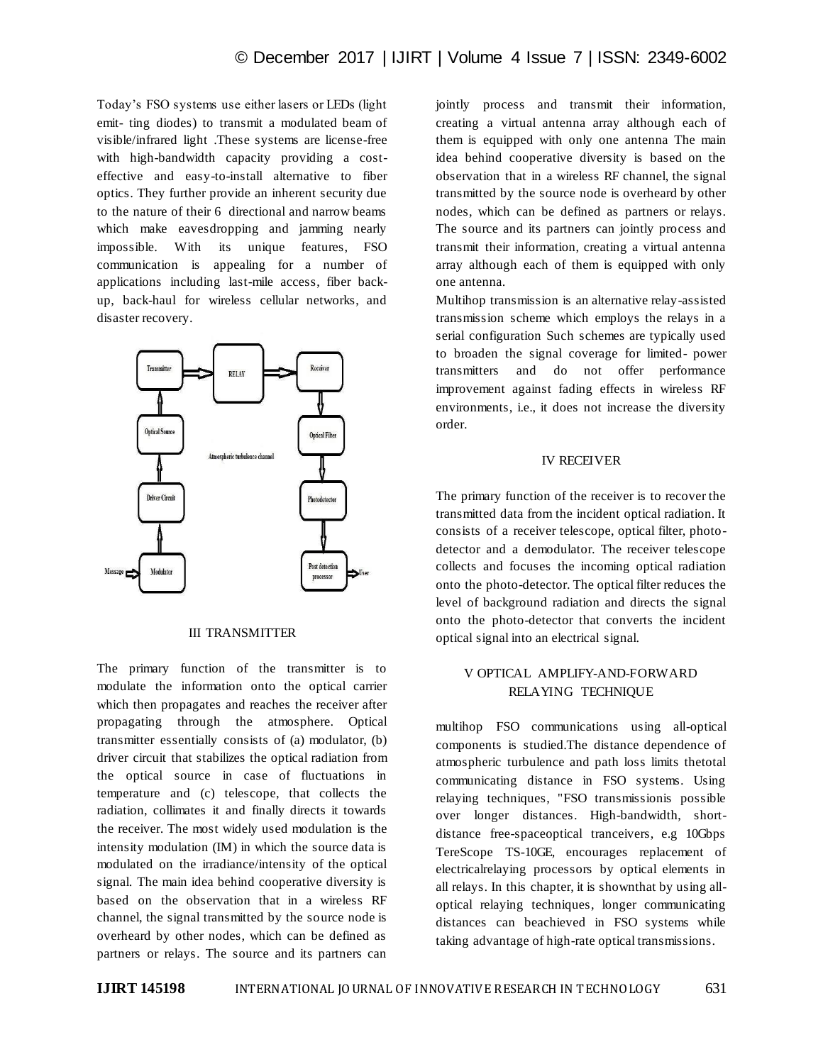Today's FSO systems use either lasers or LEDs (light emit- ting diodes) to transmit a modulated beam of visible/infrared light .These systems are license-free with high-bandwidth capacity providing a costeffective and easy-to-install alternative to fiber optics. They further provide an inherent security due to the nature of their 6 directional and narrow beams which make eavesdropping and jamming nearly impossible. With its unique features, FSO communication is appealing for a number of applications including last-mile access, fiber backup, back-haul for wireless cellular networks, and disaster recovery.



#### III TRANSMITTER

The primary function of the transmitter is to modulate the information onto the optical carrier which then propagates and reaches the receiver after propagating through the atmosphere. Optical transmitter essentially consists of (a) modulator, (b) driver circuit that stabilizes the optical radiation from the optical source in case of fluctuations in temperature and (c) telescope, that collects the radiation, collimates it and finally directs it towards the receiver. The most widely used modulation is the intensity modulation (IM) in which the source data is modulated on the irradiance/intensity of the optical signal. The main idea behind cooperative diversity is based on the observation that in a wireless RF channel, the signal transmitted by the source node is overheard by other nodes, which can be defined as partners or relays. The source and its partners can

jointly process and transmit their information, creating a virtual antenna array although each of them is equipped with only one antenna The main idea behind cooperative diversity is based on the observation that in a wireless RF channel, the signal transmitted by the source node is overheard by other nodes, which can be defined as partners or relays. The source and its partners can jointly process and transmit their information, creating a virtual antenna array although each of them is equipped with only one antenna.

Multihop transmission is an alternative relay-assisted transmission scheme which employs the relays in a serial configuration Such schemes are typically used to broaden the signal coverage for limited- power transmitters and do not offer performance improvement against fading effects in wireless RF environments, i.e., it does not increase the diversity order.

### IV RECEIVER

The primary function of the receiver is to recover the transmitted data from the incident optical radiation. It consists of a receiver telescope, optical filter, photodetector and a demodulator. The receiver telescope collects and focuses the incoming optical radiation onto the photo-detector. The optical filter reduces the level of background radiation and directs the signal onto the photo-detector that converts the incident optical signal into an electrical signal.

## V OPTICAL AMPLIFY-AND-FORWARD RELAYING TECHNIQUE

multihop FSO communications using all-optical components is studied.The distance dependence of atmospheric turbulence and path loss limits thetotal communicating distance in FSO systems. Using relaying techniques, "FSO transmissionis possible over longer distances. High-bandwidth, shortdistance free-spaceoptical tranceivers, e.g 10Gbps TereScope TS-10GE, encourages replacement of electricalrelaying processors by optical elements in all relays. In this chapter, it is shownthat by using alloptical relaying techniques, longer communicating distances can beachieved in FSO systems while taking advantage of high-rate optical transmissions.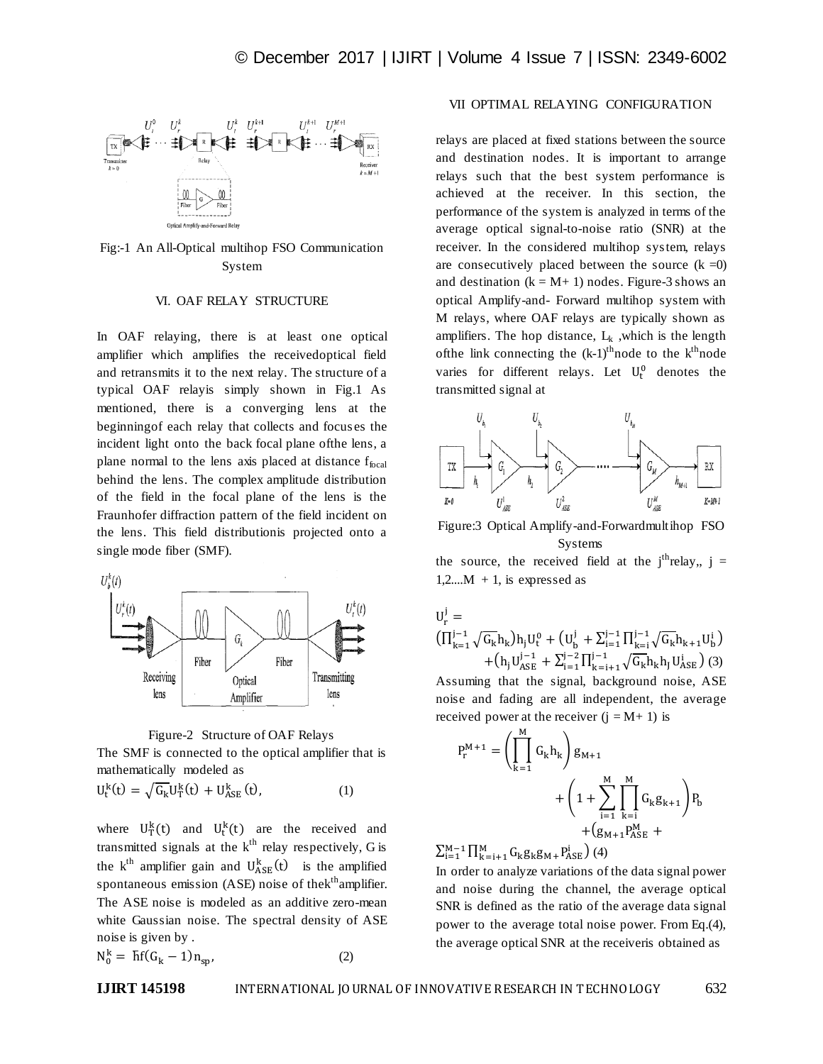

Fig:-1 An All-Optical multihop FSO Communication System

#### VI. OAF RELAY STRUCTURE

In OAF relaying, there is at least one optical amplifier which amplifies the receivedoptical field and retransmits it to the next relay. The structure of a typical OAF relayis simply shown in Fig.1 As mentioned, there is a converging lens at the beginningof each relay that collects and focus es the incident light onto the back focal plane ofthe lens, a plane normal to the lens axis placed at distance  $f_{\text{focal}}$ behind the lens. The complex amplitude distribution of the field in the focal plane of the lens is the Fraunhofer diffraction pattern of the field incident on the lens. This field distributionis projected onto a single mode fiber (SMF).



Figure-2 Structure of OAF Relays

The SMF is connected to the optical amplifier that is mathematically modeled as

$$
U_t^k(t) = \sqrt{G_k} U_T^k(t) + U_{ASE}^k(t), \qquad (1)
$$

where  $U_T^k(t)$  and  $U_T^k(t)$  are the received and transmitted signals at the  $k<sup>th</sup>$  relay respectively, G is the k<sup>th</sup> amplifier gain and  $U_{\text{ASE}}^k(t)$  is the amplified spontaneous emission (ASE) noise of the k<sup>th</sup>amplifier. The ASE noise is modeled as an additive zero-mean white Gaussian noise. The spectral density of ASE noise is given by .

$$
N_0^k = \overline{h}f(G_k - 1)n_{sp},\tag{2}
$$

## VII OPTIMAL RELAYING CONFIGURATION

relays are placed at fixed stations between the source and destination nodes. It is important to arrange relays such that the best system performance is achieved at the receiver. In this section, the performance of the system is analyzed in terms of the average optical signal-to-noise ratio (SNR) at the receiver. In the considered multihop system, relays are consecutively placed between the source  $(k = 0)$ and destination  $(k = M + 1)$  nodes. Figure-3 shows an optical Amplify-and- Forward multihop system with M relays, where OAF relays are typically shown as amplifiers. The hop distance,  $L_k$ , which is the length of the link connecting the  $(k-1)$ <sup>th</sup> node to the  $k<sup>th</sup>$  node varies for different relays. Let  $U_t^0$  denotes the transmitted signal at



Figure:3 Optical Amplify-and-Forwardmultihop FSO Systems

the source, the received field at the  $j<sup>th</sup>$ relay,,  $j =$  $1,2,...M + 1$ , is expressed as

$$
\begin{aligned} U_r^j & = \\ & \big( \Pi_{k=1}^{j-1} \sqrt{G_k} h_k \big) h_j U_t^0 + \big( U_b^j + \Sigma_{i=1}^{j-1} \Pi_{k=i}^{j-1} \sqrt{G_k} h_{k+1} U_b^i \big) \\ & \qquad + \big( h_j U_{ASE}^{j-1} + \Sigma_{i=1}^{j-2} \Pi_{k=i+1}^{j-1} \sqrt{G_k} h_k h_j U_{ASE}^i \big) \ (3) \end{aligned}
$$

Assuming that the signal, background noise, ASE noise and fading are all independent, the average received power at the receiver  $(i = M + 1)$  is

$$
P_r^{M+1} = \left(\prod_{k=1}^{M} G_k h_k\right) g_{M+1} + \left(1 + \sum_{i=1}^{M} \prod_{k=i}^{M} G_k g_{k+1}\right) P_b + (g_{M+1} P_{ASE}^{M} + P_{ASE}^{M})
$$

 $\sum_{i=1}^{M-1} \prod_{k=i+1}^{M} G_k g_k g_{M} + P_{ASE}^{i}$  (4)

In order to analyze variations of the data signal power and noise during the channel, the average optical SNR is defined as the ratio of the average data signal power to the average total noise power. From Eq.(4), the average optical SNR at the receiveris obtained as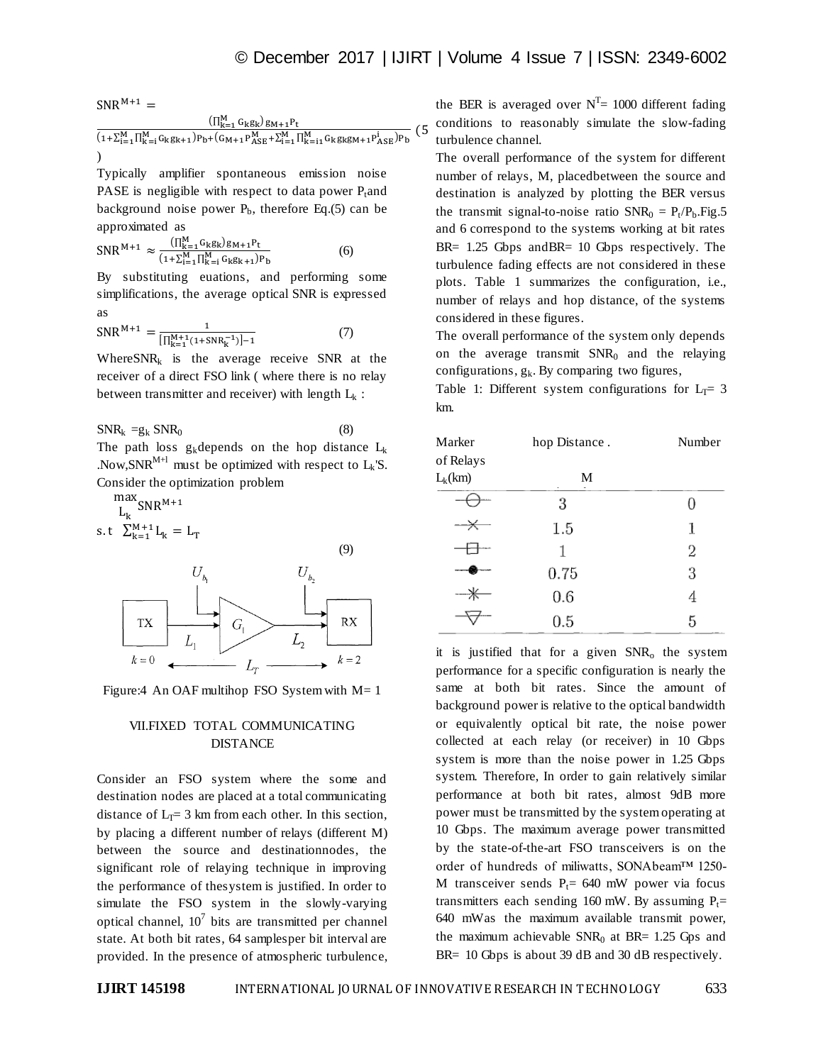$SNR^{M+1}$  =  $(\prod_{k=1}^{M} G_k g_k)$  g  $(1+\sum_{i=1}^{M}\prod_{k=i}^{M}G_kg_{k+1})P_{b}+(G_{M+1}P_{ASE}^{M}+\sum_{i=1}^{M}\prod_{k=i1}^{M}G_kg_kg_{M+1}P_{ASE}^{i})P$  $(5)$ )

Typically amplifier spontaneous emission noise PASE is negligible with respect to data power  $P_t$  and background noise power  $P<sub>b</sub>$ , therefore Eq.(5) can be approximated as

$$
SNR^{M+1} \approx \frac{(\prod_{k=1}^{M} G_k g_k) g_{M+1} P_t}{(1 + \sum_{i=1}^{M} \prod_{k=i}^{M} G_k g_{k+1}) P_b}
$$
(6)

By substituting euations, and performing some simplifications, the average optical SNR is expressed as

$$
SNR^{M+1} = \frac{1}{[\prod_{k=1}^{M+1} (1+SNR_k^{-1})]-1}
$$
 (7)

Where $SNR_k$  is the average receive SNR at the receiver of a direct FSO link ( where there is no relay between transmitter and receiver) with length  $L_k$ :

 $SNR_k = g_k SNR_0$  (8) The path loss  $g_k$ depends on the hop distance  $L_k$ .Now, SNR<sup>M+1</sup> must be optimized with respect to  $L_k$ 'S. Consider the optimization problem

 $\frac{\text{max}}{\text{r}}$  $L_k$ s.t  $\sum_{k=1}^{M+1} L$ 



Figure: 4 An OAF multihop FSO System with  $M=1$ 

## VII.FIXED TOTAL COMMUNICATING DISTANCE

Consider an FSO system where the some and destination nodes are placed at a total communicating distance of  $L_T = 3$  km from each other. In this section, by placing a different number of relays (different M) between the source and destinationnodes, the significant role of relaying technique in improving the performance of thesystem is justified. In order to simulate the FSO system in the slowly-varying optical channel,  $10^7$  bits are transmitted per channel state. At both bit rates, 64 samplesper bit interval are provided. In the presence of atmospheric turbulence,

the BER is averaged over  $N^T = 1000$  different fading conditions to reasonably simulate the slow-fading turbulence channel.

The overall performance of the system for different number of relays, M, placedbetween the source and destination is analyzed by plotting the BER versus the transmit signal-to-noise ratio  $SNR_0 = P_t/P_b$ . Fig. 5 and 6 correspond to the systems working at bit rates BR= 1.25 Gbps and BR= 10 Gbps respectively. The turbulence fading effects are not considered in these plots. Table 1 summarizes the configuration, i.e., number of relays and hop distance, of the systems considered in these figures.

The overall performance of the system only depends on the average transmit  $SNR_0$  and the relaying configurations,  $g_k$ . By comparing two figures,

Table 1: Different system configurations for  $L_T = 3$ km.

| Marker                 | hop Distance. | Number |
|------------------------|---------------|--------|
| of Relays<br>$L_k(km)$ | M             |        |
|                        | 3             |        |
| ——                     | 1.5           | 1      |
|                        | 1             | 2      |
|                        | 0.75          | 3      |
|                        | 0.6           | 4      |
|                        | 0.5           | 5      |

it is justified that for a given  $SNR<sub>o</sub>$  the system performance for a specific configuration is nearly the same at both bit rates. Since the amount of background power is relative to the optical bandwidth or equivalently optical bit rate, the noise power collected at each relay (or receiver) in 10 Gbps system is more than the noise power in 1.25 Gbps system. Therefore, In order to gain relatively similar performance at both bit rates, almost 9dB more power must be transmitted by the system operating at 10 Gbps. The maximum average power transmitted by the state-of-the-art FSO transceivers is on the order of hundreds of miliwatts, SONAbeam™ 1250- M transceiver sends  $P_t$ = 640 mW power via focus transmitters each sending 160 mW. By assuming  $P_1$ = 640 mWas the maximum available transmit power, the maximum achievable  $SNR<sub>0</sub>$  at BR= 1.25 Gps and BR= 10 Gbps is about 39 dB and 30 dB respectively.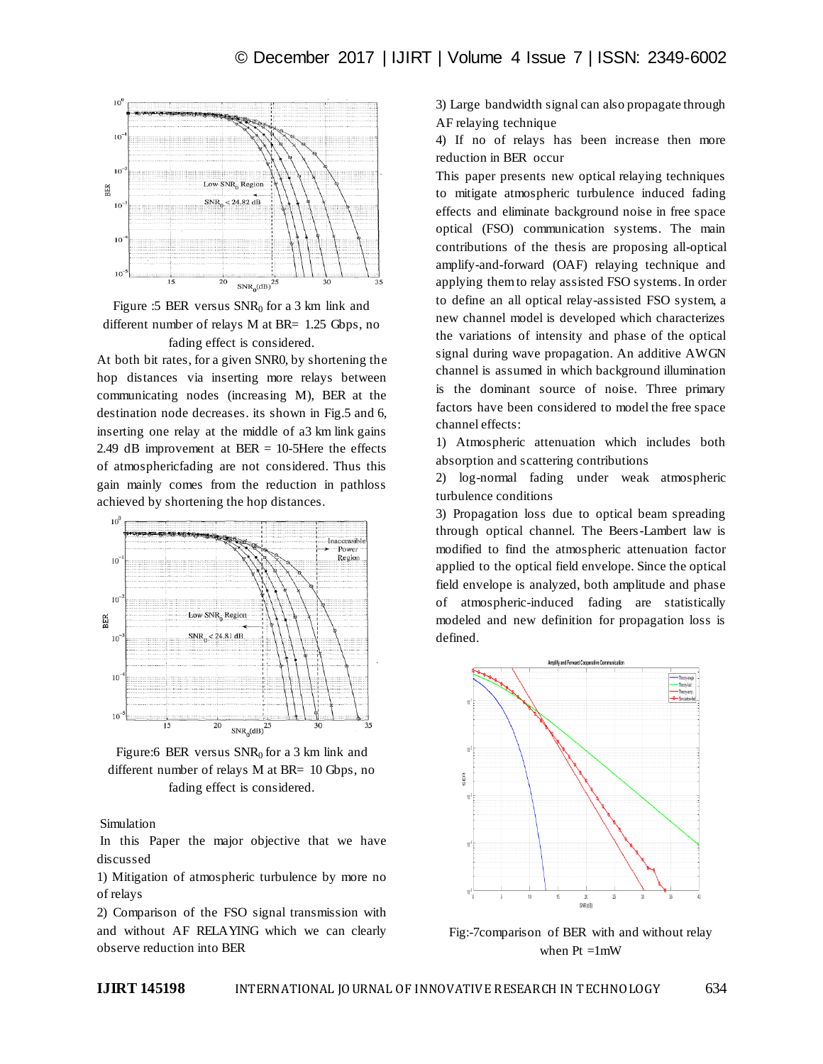



At both bit rates, for a given SNR0, by shortening the hop distances via inserting more relays between communicating nodes (increasing M), BER at the destination node decreases. its shown in Fig.5 and 6, inserting one relay at the middle of a3 km link gains 2.49 dB improvement at  $BER = 10-5$ Here the effects of atmosphericfading are not considered. Thus this gain mainly comes from the reduction in pathloss achieved by shortening the hop distances.



Figure:6 BER versus  $SNR_0$  for a 3 km link and different number of relays M at BR= 10 Gbps, no fading effect is considered.

Simulation

In this Paper the major objective that we have discussed

1) Mitigation of atmospheric turbulence by more no of relays

2) Comparison of the FSO signal transmission with and without AF RELAYING which we can clearly observe reduction into BER

3) Large bandwidth signal can also propagate through AF relaying technique

4) If no of relays has been increase then more reduction in BER occur

This paper presents new optical relaying techniques to mitigate atmospheric turbulence induced fading effects and eliminate background noise in free space optical (FSO) communication systems. The main contributions of the thesis are proposing all-optical amplify-and-forward (OAF) relaying technique and applying them to relay assisted FSO systems. In order to define an all optical relay-assisted FSO system, a new channel model is developed which characterizes the variations of intensity and phase of the optical signal during wave propagation. An additive AWGN channel is assumed in which background illumination is the dominant source of noise. Three primary factors have been considered to model the free space channel effects:

1) Atmospheric attenuation which includes both absorption and scattering contributions

2) log-normal fading under weak atmospheric turbulence conditions

3) Propagation loss due to optical beam spreading through optical channel. The Beers-Lambert law is modified to find the atmospheric attenuation factor applied to the optical field envelope. Since the optical field envelope is analyzed, both amplitude and phase of atmospheric-induced fading are statistically modeled and new definition for propagation loss is defined.



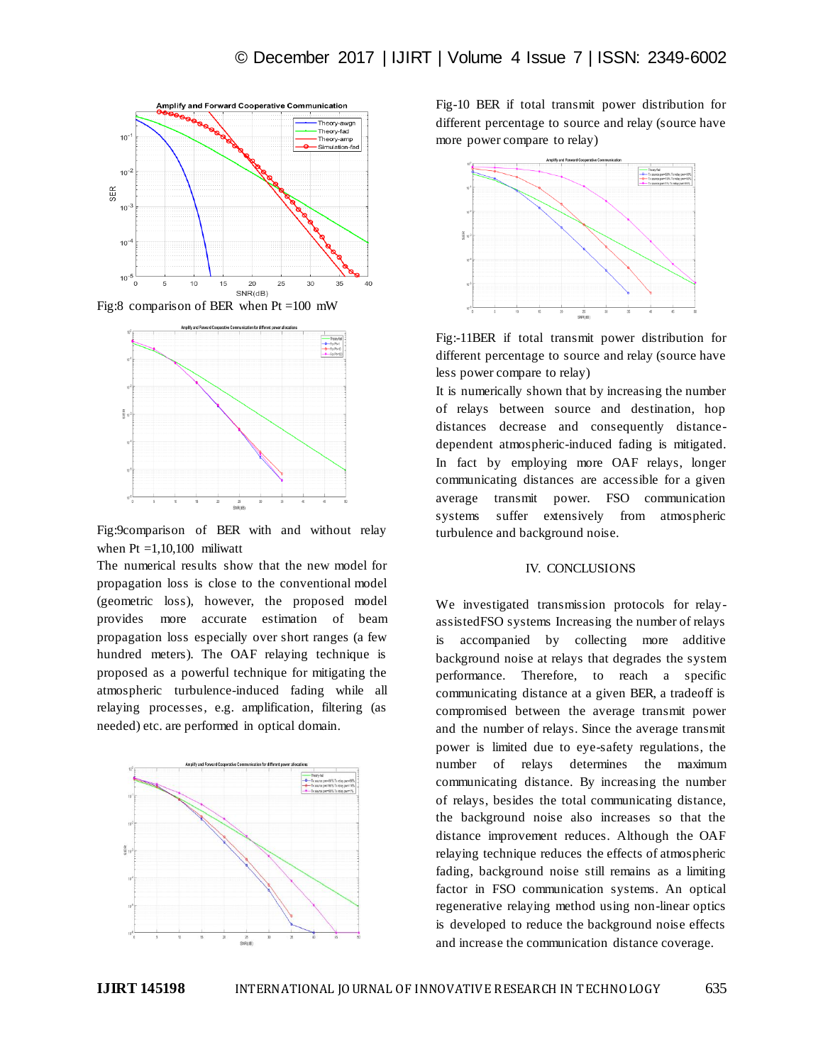



Fig:9comparison of BER with and without relay when  $Pt = 1,10,100$  miliwatt

The numerical results show that the new model for propagation loss is close to the conventional model (geometric loss), however, the proposed model provides more accurate estimation of beam propagation loss especially over short ranges (a few hundred meters). The OAF relaying technique is proposed as a powerful technique for mitigating the atmospheric turbulence-induced fading while all relaying processes, e.g. amplification, filtering (as needed) etc. are performed in optical domain.



Fig-10 BER if total transmit power distribution for different percentage to source and relay (source have more power compare to relay)



Fig:-11BER if total transmit power distribution for different percentage to source and relay (source have less power compare to relay)

It is numerically shown that by increasing the number of relays between source and destination, hop distances decrease and consequently distancedependent atmospheric-induced fading is mitigated. In fact by employing more OAF relays, longer communicating distances are accessible for a given average transmit power. FSO communication systems suffer extensively from atmospheric turbulence and background noise.

## IV. CONCLUSIONS

We investigated transmission protocols for relayassistedFSO systems Increasing the number of relays is accompanied by collecting more additive background noise at relays that degrades the system performance. Therefore, to reach a specific communicating distance at a given BER, a tradeoff is compromised between the average transmit power and the number of relays. Since the average transmit power is limited due to eye-safety regulations, the number of relays determines the maximum communicating distance. By increasing the number of relays, besides the total communicating distance, the background noise also increases so that the distance improvement reduces. Although the OAF relaying technique reduces the effects of atmospheric fading, background noise still remains as a limiting factor in FSO communication systems. An optical regenerative relaying method using non-linear optics is developed to reduce the background noise effects and increase the communication distance coverage.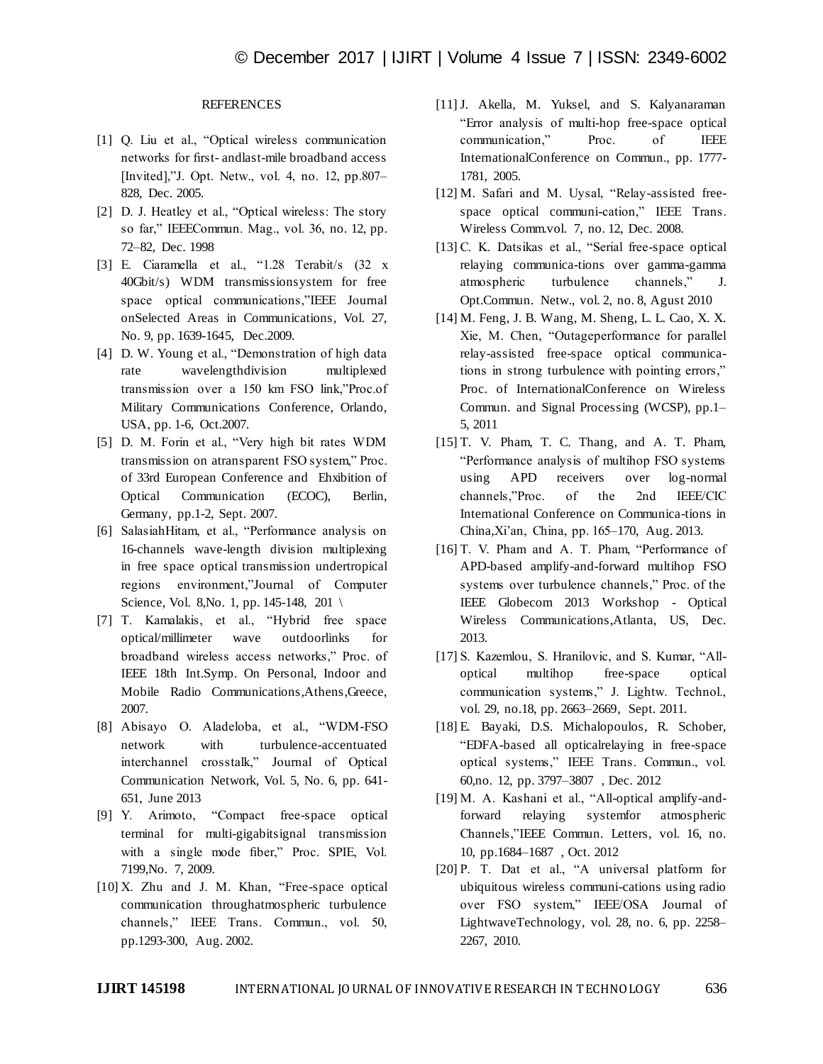## **REFERENCES**

- [1] Q. Liu et al., "Optical wireless communication networks for first- andlast-mile broadband access [Invited],"J. Opt. Netw., vol. 4, no. 12, pp.807– 828, Dec. 2005.
- [2] D. J. Heatley et al., "Optical wireless: The story so far," IEEECommun. Mag., vol. 36, no. 12, pp. 72–82, Dec. 1998
- [3] E. Ciaramella et al., "1.28 Terabit/s (32 x 40Gbit/s) WDM transmissionsystem for free space optical communications,"IEEE Journal onSelected Areas in Communications, Vol. 27, No. 9, pp. 1639-1645, Dec.2009.
- [4] D. W. Young et al., "Demonstration of high data rate wavelengthdivision multiplexed transmission over a 150 km FSO link,"Proc.of Military Communications Conference, Orlando, USA, pp. 1-6, Oct.2007.
- [5] D. M. Forin et al., "Very high bit rates WDM transmission on atransparent FSO system," Proc. of 33rd European Conference and Ehxibition of Optical Communication (ECOC), Berlin, Germany, pp.1-2, Sept. 2007.
- [6] SalasiahHitam, et al., "Performance analysis on 16-channels wave-length division multiplexing in free space optical transmission undertropical regions environment,"Journal of Computer Science, Vol. 8, No. 1, pp. 145-148, 201 \
- [7] T. Kamalakis, et al., "Hybrid free space optical/millimeter wave outdoorlinks for broadband wireless access networks," Proc. of IEEE 18th Int.Symp. On Personal, Indoor and Mobile Radio Communications,Athens,Greece, 2007.
- [8] Abisayo O. Aladeloba, et al., "WDM-FSO network with turbulence-accentuated interchannel crosstalk," Journal of Optical Communication Network, Vol. 5, No. 6, pp. 641- 651, June 2013
- [9] Y. Arimoto, "Compact free-space optical terminal for multi-gigabitsignal transmission with a single mode fiber," Proc. SPIE, Vol. 7199,No. 7, 2009.
- [10] X. Zhu and J. M. Khan, "Free-space optical communication throughatmospheric turbulence channels," IEEE Trans. Commun., vol. 50, pp.1293-300, Aug. 2002.
- [11] J. Akella, M. Yuksel, and S. Kalyanaraman "Error analysis of multi-hop free-space optical communication," Proc. of IEEE InternationalConference on Commun., pp. 1777- 1781, 2005.
- [12] M. Safari and M. Uysal, "Relay-assisted freespace optical communi-cation," IEEE Trans. Wireless Comm.vol. 7, no. 12, Dec. 2008.
- [13] C. K. Datsikas et al., "Serial free-space optical relaying communica-tions over gamma-gamma atmospheric turbulence channels," J. Opt.Commun. Netw., vol. 2, no. 8, Agust 2010
- [14] M. Feng, J. B. Wang, M. Sheng, L. L. Cao, X. X. Xie, M. Chen, "Outageperformance for parallel relay-assisted free-space optical communications in strong turbulence with pointing errors," Proc. of InternationalConference on Wireless Commun. and Signal Processing (WCSP), pp.1– 5, 2011
- [15] T. V. Pham, T. C. Thang, and A. T. Pham, "Performance analysis of multihop FSO systems using APD receivers over log-normal channels,"Proc. of the 2nd IEEE/CIC International Conference on Communica-tions in China,Xi'an, China, pp. 165–170, Aug. 2013.
- [16] T. V. Pham and A. T. Pham, "Performance of APD-based amplify-and-forward multihop FSO systems over turbulence channels," Proc. of the IEEE Globecom 2013 Workshop - Optical Wireless Communications,Atlanta, US, Dec. 2013.
- [17] S. Kazemlou, S. Hranilovic, and S. Kumar, "Alloptical multihop free-space optical communication systems," J. Lightw. Technol., vol. 29, no.18, pp. 2663–2669, Sept. 2011.
- [18] E. Bayaki, D.S. Michalopoulos, R. Schober, "EDFA-based all opticalrelaying in free-space optical systems," IEEE Trans. Commun., vol. 60,no. 12, pp. 3797–3807 , Dec. 2012
- [19] M. A. Kashani et al., "All-optical amplify-andforward relaying systemfor atmospheric Channels,"IEEE Commun. Letters, vol. 16, no. 10, pp.1684–1687 , Oct. 2012
- [20] P. T. Dat et al., "A universal platform for ubiquitous wireless communi-cations using radio over FSO system," IEEE/OSA Journal of LightwaveTechnology, vol. 28, no. 6, pp. 2258– 2267, 2010.